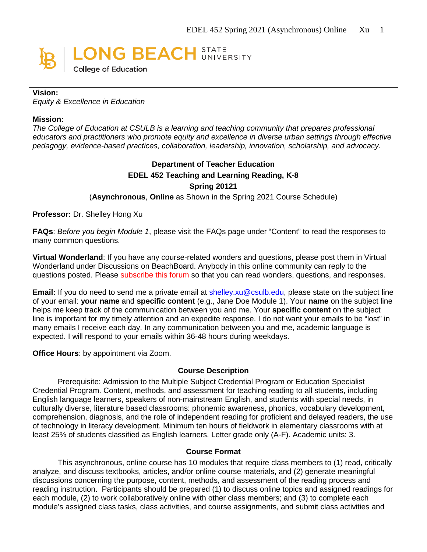

### **Vision:**

*Equity & Excellence in Education*

#### **Mission:**

*The College of Education at CSULB is a learning and teaching community that prepares professional educators and practitioners who promote equity and excellence in diverse urban settings through effective pedagogy, evidence-based practices, collaboration, leadership, innovation, scholarship, and advocacy.*

# **Department of Teacher Education EDEL 452 Teaching and Learning Reading, K-8 Spring 20121**

(**Asynchronous**, **Online** as Shown in the Spring 2021 Course Schedule)

### **Professor:** Dr. Shelley Hong Xu

**FAQs**: *Before you begin Module 1*, please visit the FAQs page under "Content" to read the responses to many common questions.

**Virtual Wonderland**: If you have any course-related wonders and questions, please post them in Virtual Wonderland under Discussions on BeachBoard. Anybody in this online community can reply to the questions posted. Please subscribe this forum so that you can read wonders, questions, and responses.

**Email:** If you do need to send me a private email at [shelley.xu@csulb.edu,](mailto:shelley.xu@csulb.edu) please state on the subject line of your email: **your name** and **specific content** (e.g., Jane Doe Module 1). Your **name** on the subject line helps me keep track of the communication between you and me. Your **specific content** on the subject line is important for my timely attention and an expedite response. I do not want your emails to be "lost" in many emails I receive each day. In any communication between you and me, academic language is expected. I will respond to your emails within 36-48 hours during weekdays.

**Office Hours**: by appointment via Zoom.

#### **Course Description**

Prerequisite: Admission to the Multiple Subject Credential Program or Education Specialist Credential Program. Content, methods, and assessment for teaching reading to all students, including English language learners, speakers of non-mainstream English, and students with special needs, in culturally diverse, literature based classrooms: phonemic awareness, phonics, vocabulary development, comprehension, diagnosis, and the role of independent reading for proficient and delayed readers, the use of technology in literacy development. Minimum ten hours of fieldwork in elementary classrooms with at least 25% of students classified as English learners. Letter grade only (A-F). Academic units: 3.

#### **Course Format**

This asynchronous, online course has 10 modules that require class members to (1) read, critically analyze, and discuss textbooks, articles, and/or online course materials, and (2) generate meaningful discussions concerning the purpose, content, methods, and assessment of the reading process and reading instruction. Participants should be prepared (1) to discuss online topics and assigned readings for each module, (2) to work collaboratively online with other class members; and (3) to complete each module's assigned class tasks, class activities, and course assignments, and submit class activities and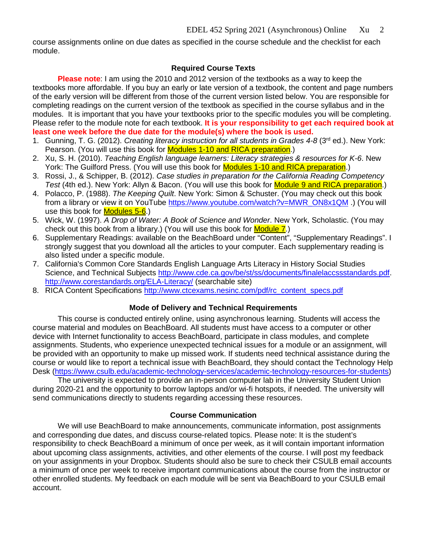course assignments online on due dates as specified in the course schedule and the checklist for each module.

## **Required Course Texts**

**Please note**: I am using the 2010 and 2012 version of the textbooks as a way to keep the textbooks more affordable. If you buy an early or late version of a textbook, the content and page numbers of the early version will be different from those of the current version listed below. You are responsible for completing readings on the current version of the textbook as specified in the course syllabus and in the modules. It is important that you have your textbooks prior to the specific modules you will be completing. Please refer to the module note for each textbook. **It is your responsibility to get each required book at least one week before the due date for the module(s) where the book is used.**

- 1. Gunning, T. G. (2012). *Creating literacy instruction for all students in Grades 4-8* (3rd ed.). New York: Pearson. (You will use this book for **Modules 1-10 and RICA preparation**.)
- 2. Xu, S. H. (2010). *Teaching English language learners: Literacy strategies & resources for K-6*. New York: The Guilford Press. (You will use this book for Modules 1-10 and RICA preparation.)
- 3. Rossi, J., & Schipper, B. (2012). *Case studies in preparation for the California Reading Competency Test* (4th ed.). New York: Allyn & Bacon. (You will use this book for Module 9 and RICA preparation.)
- 4. Polacco, P. (1988). *The Keeping Quilt*. New York: Simon & Schuster. (You may check out this book from a library or view it on YouTube [https://www.youtube.com/watch?v=MWR\\_ON8x1QM](https://www.youtube.com/watch?v=MWR_ON8x1QM) .) (You will use this book for **Modules 5-6**.)
- 5. Wick, W. (1997). *A Drop of Water: A Book of Science and Wonder*. New York, Scholastic. (You may check out this book from a library.) (You will use this book for  $Module 7$ .)
- 6. Supplementary Readings: available on the BeachBoard under "Content", "Supplementary Readings". I strongly suggest that you download all the articles to your computer. Each supplementary reading is also listed under a specific module.
- 7. [California's Common Core Standards English Language Arts Literacy in History Social Studies](javascript://)  [Science, and Technical Subjects](javascript://) [http://www.cde.ca.gov/be/st/ss/documents/finalelaccssstandards.pdf.](http://www.cde.ca.gov/be/st/ss/documents/finalelaccssstandards.pdf) <http://www.corestandards.org/ELA-Literacy/> (searchable site)
- 8. RICA Content Specifications [http://www.ctcexams.nesinc.com/pdf/rc\\_content\\_specs.pdf](http://www.ctcexams.nesinc.com/pdf/rc_content_specs.pdf)

## **Mode of Delivery and Technical Requirements**

This course is conducted entirely online, using asynchronous learning. Students will access the course material and modules on [BeachBoard.](https://bbcsulb.desire2learn.com/d2l/home) All students must have access to a computer or other device with Internet functionality to access BeachBoard, participate in class modules, and complete assignments. Students, who experience unexpected technical issues for a module or an assignment, will be provided with an opportunity to make up missed work. If students need technical assistance during the course or would like to report a technical issue with BeachBoard, they should contact the Technology Help Desk [\(https://www.csulb.edu/academic-technology-services/academic-technology-resources-for-students\)](https://www.csulb.edu/academic-technology-services/academic-technology-resources-for-students)

The university is expected to provide an in-person computer lab in the University Student Union during 2020-21 and the opportunity to borrow laptops and/or wi-fi hotspots, if needed. The university will send communications directly to students regarding accessing these resources.

### **Course Communication**

We will use BeachBoard to make announcements, communicate information, post assignments and corresponding due dates, and discuss course-related topics. Please note: It is the student's responsibility to check BeachBoard a minimum of once per week, as it will contain important information about upcoming class assignments, activities, and other elements of the course. I will post my feedback on your assignments in your Dropbox. Students should also be sure to check their CSULB email accounts a minimum of once per week to receive important communications about the course from the instructor or other enrolled students. My feedback on each module will be sent via BeachBoard to your CSULB email account.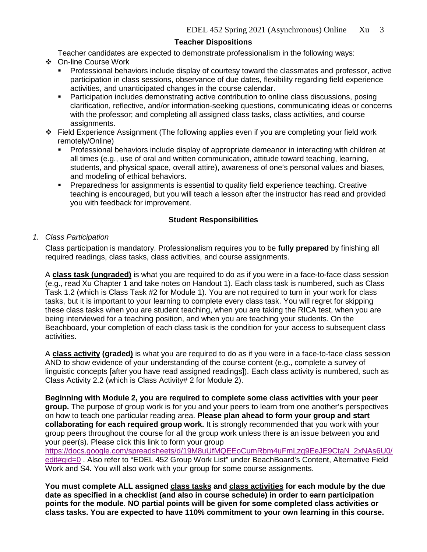## **Teacher Dispositions**

Teacher candidates are expected to demonstrate professionalism in the following ways:

- On-line Course Work
	- Professional behaviors include display of courtesy toward the classmates and professor, active participation in class sessions, observance of due dates, flexibility regarding field experience activities, and unanticipated changes in the course calendar.
	- Participation includes demonstrating active contribution to online class discussions, posing clarification, reflective, and/or information-seeking questions, communicating ideas or concerns with the professor; and completing all assigned class tasks, class activities, and course assignments.
- Field Experience Assignment (The following applies even if you are completing your field work remotely/Online)
	- Professional behaviors include display of appropriate demeanor in interacting with children at all times (e.g., use of oral and written communication, attitude toward teaching, learning, students, and physical space, overall attire), awareness of one's personal values and biases, and modeling of ethical behaviors.
	- Preparedness for assignments is essential to quality field experience teaching. Creative teaching is encouraged, but you will teach a lesson after the instructor has read and provided you with feedback for improvement.

### **Student Responsibilities**

*1. Class Participation* 

Class participation is mandatory. Professionalism requires you to be **fully prepared** by finishing all required readings, class tasks, class activities, and course assignments.

A **class task (ungraded)** is what you are required to do as if you were in a face-to-face class session (e.g., read Xu Chapter 1 and take notes on Handout 1). Each class task is numbered, such as Class Task 1.2 (which is Class Task #2 for Module 1). You are not required to turn in your work for class tasks, but it is important to your learning to complete every class task. You will regret for skipping these class tasks when you are student teaching, when you are taking the RICA test, when you are being interviewed for a teaching position, and when you are teaching your students. On the Beachboard, your completion of each class task is the condition for your access to subsequent class activities.

A **class activity (graded)** is what you are required to do as if you were in a face-to-face class session AND to show evidence of your understanding of the course content (e.g., complete a survey of linguistic concepts [after you have read assigned readings]). Each class activity is numbered, such as Class Activity 2.2 (which is Class Activity# 2 for Module 2).

**Beginning with Module 2, you are required to complete some class activities with your peer group.** The purpose of group work is for you and your peers to learn from one another's perspectives on how to teach one particular reading area. **Please plan ahead to form your group and start collaborating for each required group work.** It is strongly recommended that you work with your group peers throughout the course for all the group work unless there is an issue between you and your peer(s). Please click this link to form your group

[https://docs.google.com/spreadsheets/d/19M8uUfMQEEoCumRbm4uFmLzq9EeJE9CtaN\\_2xNAs6U0/](https://docs.google.com/spreadsheets/d/19M8uUfMQEEoCumRbm4uFmLzq9EeJE9CtaN_2xNAs6U0/edit#gid=0) [edit#gid=0](https://docs.google.com/spreadsheets/d/19M8uUfMQEEoCumRbm4uFmLzq9EeJE9CtaN_2xNAs6U0/edit#gid=0) . Also refer to "EDEL 452 Group Work List" under BeachBoard's Content, Alternative Field Work and S4. You will also work with your group for some course assignments.

**You must complete ALL assigned class tasks and class activities for each module by the due date as specified in a checklist (and also in course schedule) in order to earn participation points for the module**. **NO partial points will be given for some completed class activities or class tasks. You are expected to have 110% commitment to your own learning in this course.**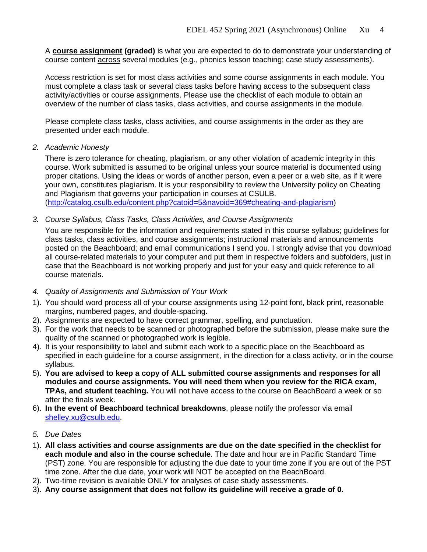A **course assignment (graded)** is what you are expected to do to demonstrate your understanding of course content across several modules (e.g., phonics lesson teaching; case study assessments).

Access restriction is set for most class activities and some course assignments in each module. You must complete a class task or several class tasks before having access to the subsequent class activity/activities or course assignments. Please use the checklist of each module to obtain an overview of the number of class tasks, class activities, and course assignments in the module.

Please complete class tasks, class activities, and course assignments in the order as they are presented under each module.

*2. Academic Honesty*

There is zero tolerance for cheating, plagiarism, or any other violation of academic integrity in this course. Work submitted is assumed to be original unless your source material is documented using proper citations. Using the ideas or words of another person, even a peer or a web site, as if it were your own, constitutes plagiarism. It is your responsibility to review the University policy on Cheating and Plagiarism that governs your participation in courses at CSULB. [\(http://catalog.csulb.edu/content.php?catoid=5&navoid=369#cheating-and-plagiarism\)](http://catalog.csulb.edu/content.php?catoid=5&navoid=369#cheating-and-plagiarism)

*3. Course Syllabus, Class Tasks, Class Activities, and Course Assignments*

You are responsible for the information and requirements stated in this course syllabus; guidelines for class tasks, class activities, and course assignments; instructional materials and announcements posted on the Beachboard; and email communications I send you. I strongly advise that you download all course-related materials to your computer and put them in respective folders and subfolders, just in case that the Beachboard is not working properly and just for your easy and quick reference to all course materials.

- *4. Quality of Assignments and Submission of Your Work*
- 1). You should word process all of your course assignments using 12-point font, black print, reasonable margins, numbered pages, and double-spacing.
- 2). Assignments are expected to have correct grammar, spelling, and punctuation.
- 3). For the work that needs to be scanned or photographed before the submission, please make sure the quality of the scanned or photographed work is legible.
- 4). It is your responsibility to label and submit each work to a specific place on the Beachboard as specified in each guideline for a course assignment, in the direction for a class activity, or in the course syllabus.
- 5). **You are advised to keep a copy of ALL submitted course assignments and responses for all modules and course assignments. You will need them when you review for the RICA exam, TPAs, and student teaching.** You will not have access to the course on BeachBoard a week or so after the finals week.
- 6). **In the event of Beachboard technical breakdowns**, please notify the professor via email [shelley.xu@csulb.edu.](mailto:shelley.xu@csulb.edu)
- *5. Due Dates*
- 1). **All class activities and course assignments are due on the date specified in the checklist for each module and also in the course schedule**. The date and hour are in Pacific Standard Time (PST) zone. You are responsible for adjusting the due date to your time zone if you are out of the PST time zone. After the due date, your work will NOT be accepted on the BeachBoard.
- 2). Two-time revision is available ONLY for analyses of case study assessments.
- 3). **Any course assignment that does not follow its guideline will receive a grade of 0.**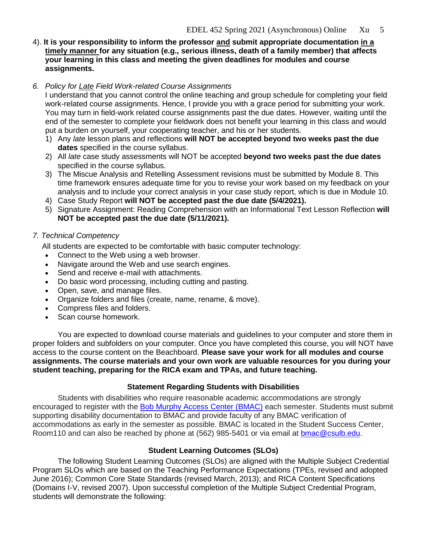4). **It is your responsibility to inform the professor and submit appropriate documentation in a timely manner for any situation (e.g., serious illness, death of a family member) that affects your learning in this class and meeting the given deadlines for modules and course assignments.** 

## *6. Policy for Late Field Work-related Course Assignments*

I understand that you cannot control the online teaching and group schedule for completing your field work-related course assignments. Hence, I provide you with a grace period for submitting your work. You may turn in field-work related course assignments past the due dates. However, waiting until the end of the semester to complete your fieldwork does not benefit your learning in this class and would put a burden on yourself, your cooperating teacher, and his or her students.

- 1) Any *late* lesson plans and reflections **will NOT be accepted beyond two weeks past the due dates** specified in the course syllabus.
- 2) All *late* case study assessments will NOT be accepted **beyond two weeks past the due dates** specified in the course syllabus.
- 3) The Miscue Analysis and Retelling Assessment revisions must be submitted by Module 8. This time framework ensures adequate time for you to revise your work based on my feedback on your analysis and to include your correct analysis in your case study report, which is due in Module 10.
- 4) Case Study Report **will NOT be accepted past the due date (5/4/2021).**
- 5) Signature Assignment: Reading Comprehension with an Informational Text Lesson Reflection **will NOT be accepted past the due date (5/11/2021).**

## *7. Technical Competency*

All students are expected to be comfortable with basic computer technology:

- Connect to the Web using a web browser.
- Navigate around the Web and use search engines.
- Send and receive e-mail with attachments.
- Do basic word processing, including cutting and pasting.
- Open, save, and manage files.
- Organize folders and files (create, name, rename, & move).
- Compress files and folders.
- Scan course homework.

You are expected to download course materials and guidelines to your computer and store them in proper folders and subfolders on your computer. Once you have completed this course, you will NOT have access to the course content on the Beachboard. **Please save your work for all modules and course assignments. The course materials and your own work are valuable resources for you during your student teaching, preparing for the RICA exam and TPAs, and future teaching.** 

## **Statement Regarding Students with Disabilities**

Students with disabilities who require reasonable academic accommodations are strongly encouraged to register with the [Bob Murphy Access Center \(BMAC\)](http://web.csulb.edu/divisions/students/dss/) each semester. Students must submit supporting disability documentation to BMAC and provide faculty of any BMAC verification of accommodations as early in the semester as possible. BMAC is located in the Student Success Center, Room110 and can also be reached by phone at (562) 985-5401 or via email at **bmac@csulb.edu**.

## **Student Learning Outcomes (SLOs)**

The following Student Learning Outcomes (SLOs) are aligned with the Multiple Subject Credential Program SLOs which are based on the Teaching Performance Expectations (TPEs, revised and adopted June 2016); Common Core State Standards (revised March, 2013); and RICA Content Specifications (Domains I-V, revised 2007). Upon successful completion of the Multiple Subject Credential Program, students will demonstrate the following: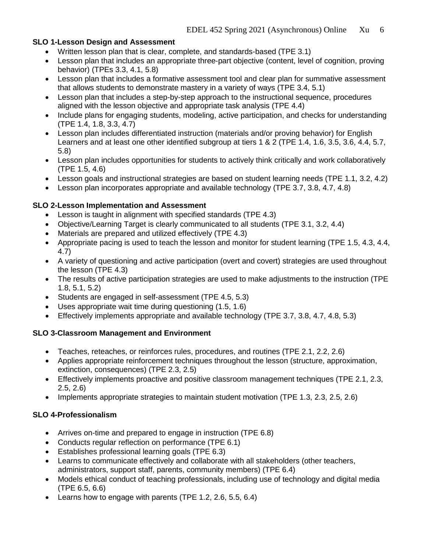## **SLO 1-Lesson Design and Assessment**

- Written lesson plan that is clear, complete, and standards-based (TPE 3.1)
- Lesson plan that includes an appropriate three-part objective (content, level of cognition, proving behavior) (TPEs 3.3, 4.1, 5.8)
- Lesson plan that includes a formative assessment tool and clear plan for summative assessment that allows students to demonstrate mastery in a variety of ways (TPE 3.4, 5.1)
- Lesson plan that includes a step-by-step approach to the instructional sequence, procedures aligned with the lesson objective and appropriate task analysis (TPE 4.4)
- Include plans for engaging students, modeling, active participation, and checks for understanding (TPE 1.4, 1.8, 3.3, 4.7)
- Lesson plan includes differentiated instruction (materials and/or proving behavior) for English Learners and at least one other identified subgroup at tiers 1 & 2 (TPE 1.4, 1.6, 3.5, 3.6, 4.4, 5.7, 5.8)
- Lesson plan includes opportunities for students to actively think critically and work collaboratively (TPE 1.5, 4.6)
- Lesson goals and instructional strategies are based on student learning needs (TPE 1.1, 3.2, 4.2)
- Lesson plan incorporates appropriate and available technology (TPE 3.7, 3.8, 4.7, 4.8)

## **SLO 2-Lesson Implementation and Assessment**

- Lesson is taught in alignment with specified standards (TPE 4.3)
- Objective/Learning Target is clearly communicated to all students (TPE 3.1, 3.2, 4.4)
- Materials are prepared and utilized effectively (TPE 4.3)
- Appropriate pacing is used to teach the lesson and monitor for student learning (TPE 1.5, 4.3, 4.4, 4.7)
- A variety of questioning and active participation (overt and covert) strategies are used throughout the lesson (TPE 4.3)
- The results of active participation strategies are used to make adjustments to the instruction (TPE 1.8, 5.1, 5.2)
- Students are engaged in self-assessment (TPE 4.5, 5.3)
- Uses appropriate wait time during questioning (1.5, 1.6)
- Effectively implements appropriate and available technology (TPE 3.7, 3.8, 4.7, 4.8, 5.3)

### **SLO 3-Classroom Management and Environment**

- Teaches, reteaches, or reinforces rules, procedures, and routines (TPE 2.1, 2.2, 2.6)
- Applies appropriate reinforcement techniques throughout the lesson (structure, approximation, extinction, consequences) (TPE 2.3, 2.5)
- Effectively implements proactive and positive classroom management techniques (TPE 2.1, 2.3, 2.5, 2.6)
- Implements appropriate strategies to maintain student motivation (TPE 1.3, 2.3, 2.5, 2.6)

## **SLO 4-Professionalism**

- Arrives on-time and prepared to engage in instruction (TPE 6.8)
- Conducts regular reflection on performance (TPE 6.1)
- Establishes professional learning goals (TPE 6.3)
- Learns to communicate effectively and collaborate with all stakeholders (other teachers, administrators, support staff, parents, community members) (TPE 6.4)
- Models ethical conduct of teaching professionals, including use of technology and digital media (TPE 6.5, 6.6)
- Learns how to engage with parents (TPE 1.2, 2.6, 5.5, 6.4)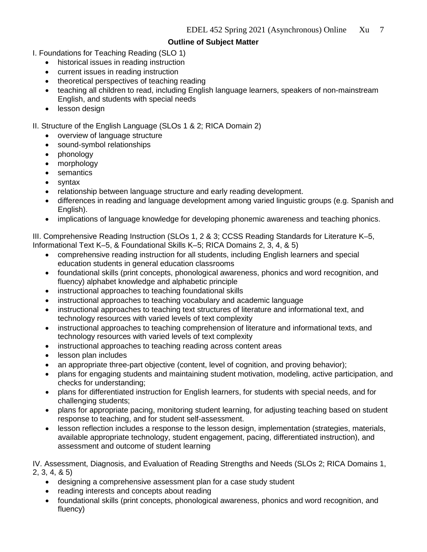## **Outline of Subject Matter**

- I. Foundations for Teaching Reading (SLO 1)
	- historical issues in reading instruction
	- current issues in reading instruction
	- theoretical perspectives of teaching reading
	- teaching all children to read, including English language learners, speakers of non-mainstream English, and students with special needs
	- lesson design

### II. Structure of the English Language (SLOs 1 & 2; RICA Domain 2)

- overview of language structure
- sound-symbol relationships
- phonology
- morphology
- semantics
- syntax
- relationship between language structure and early reading development.
- differences in reading and language development among varied linguistic groups (e.g. Spanish and English).
- implications of language knowledge for developing phonemic awareness and teaching phonics.

III. Comprehensive Reading Instruction (SLOs 1, 2 & 3; CCSS Reading Standards for Literature K–5, Informational Text K–5, & Foundational Skills K–5; RICA Domains 2, 3, 4, & 5)

- comprehensive reading instruction for all students, including English learners and special education students in general education classrooms
- foundational skills (print concepts, phonological awareness, phonics and word recognition, and fluency) alphabet knowledge and alphabetic principle
- instructional approaches to teaching foundational skills
- instructional approaches to teaching vocabulary and academic language
- instructional approaches to teaching text structures of literature and informational text, and technology resources with varied levels of text complexity
- instructional approaches to teaching comprehension of literature and informational texts, and technology resources with varied levels of text complexity
- instructional approaches to teaching reading across content areas
- lesson plan includes
- an appropriate three-part objective (content, level of cognition, and proving behavior);
- plans for engaging students and maintaining student motivation, modeling, active participation, and checks for understanding;
- plans for differentiated instruction for English learners, for students with special needs, and for challenging students;
- plans for appropriate pacing, monitoring student learning, for adjusting teaching based on student response to teaching, and for student self-assessment.
- lesson reflection includes a response to the lesson design, implementation (strategies, materials, available appropriate technology, student engagement, pacing, differentiated instruction), and assessment and outcome of student learning

IV. Assessment, Diagnosis, and Evaluation of Reading Strengths and Needs (SLOs 2; RICA Domains 1, 2, 3, 4, & 5)

- designing a comprehensive assessment plan for a case study student
- reading interests and concepts about reading
- foundational skills (print concepts, phonological awareness, phonics and word recognition, and fluency)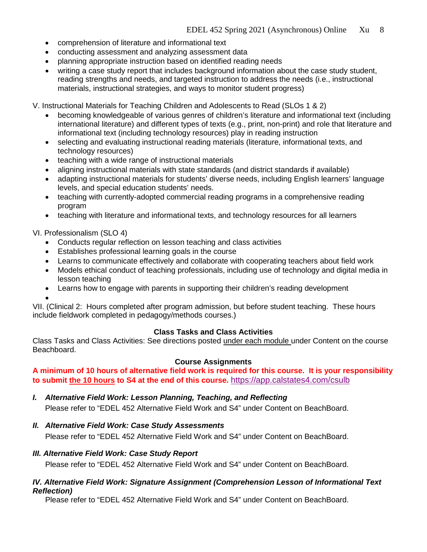- comprehension of literature and informational text
- conducting assessment and analyzing assessment data
- planning appropriate instruction based on identified reading needs
- writing a case study report that includes background information about the case study student, reading strengths and needs, and targeted instruction to address the needs (i.e., instructional materials, instructional strategies, and ways to monitor student progress)

V. Instructional Materials for Teaching Children and Adolescents to Read (SLOs 1 & 2)

- becoming knowledgeable of various genres of children's literature and informational text (including international literature) and different types of texts (e.g., print, non-print) and role that literature and informational text (including technology resources) play in reading instruction
- selecting and evaluating instructional reading materials (literature, informational texts, and technology resources)
- teaching with a wide range of instructional materials
- aligning instructional materials with state standards (and district standards if available)
- adapting instructional materials for students' diverse needs, including English learners' language levels, and special education students' needs.
- teaching with currently-adopted commercial reading programs in a comprehensive reading program
- teaching with literature and informational texts, and technology resources for all learners

### VI. Professionalism (SLO 4)

- Conducts regular reflection on lesson teaching and class activities
- Establishes professional learning goals in the course
- Learns to communicate effectively and collaborate with cooperating teachers about field work
- Models ethical conduct of teaching professionals, including use of technology and digital media in lesson teaching
- Learns how to engage with parents in supporting their children's reading development

• VII. (Clinical 2: Hours completed after program admission, but before student teaching. These hours include fieldwork completed in pedagogy/methods courses.)

### **Class Tasks and Class Activities**

Class Tasks and Class Activities: See directions posted under each module under Content on the course Beachboard.

### **Course Assignments**

**A minimum of 10 hours of alternative field work is required for this course. It is your responsibility to submit the 10 hours to S4 at the end of this course.** <https://app.calstates4.com/csulb>

*I. Alternative Field Work: Lesson Planning, Teaching, and Reflecting* 

Please refer to "EDEL 452 Alternative Field Work and S4" under Content on BeachBoard.

### *II. Alternative Field Work: Case Study Assessments*

Please refer to "EDEL 452 Alternative Field Work and S4" under Content on BeachBoard.

### *III. Alternative Field Work: Case Study Report*

Please refer to "EDEL 452 Alternative Field Work and S4" under Content on BeachBoard.

### *IV. Alternative Field Work: Signature Assignment (Comprehension Lesson of Informational Text Reflection)*

Please refer to "EDEL 452 Alternative Field Work and S4" under Content on BeachBoard.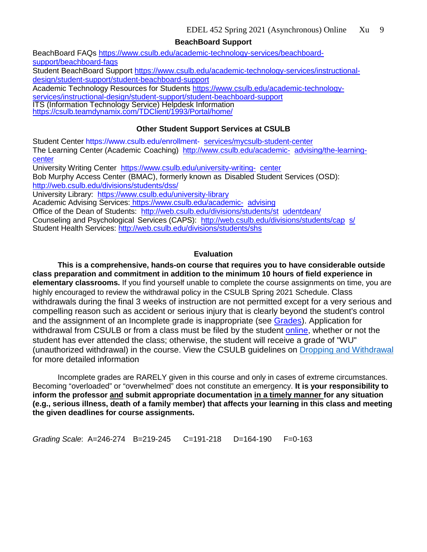**BeachBoard Support**

BeachBoard FAQs [https://www.csulb.edu/academic-technology-services/beachboard](https://www.csulb.edu/academic-technology-services/beachboard-support/beachboard-faqs)[support/beachboard-faqs](https://www.csulb.edu/academic-technology-services/beachboard-support/beachboard-faqs) Student BeachBoard Support [https://www.csulb.edu/academic-technology-services/instructional](https://www.csulb.edu/academic-technology-services/instructional-design/student-support/student-beachboard-support)[design/student-support/student-beachboard-support](https://www.csulb.edu/academic-technology-services/instructional-design/student-support/student-beachboard-support) Academic Technology Resources for Students [https://www.csulb.edu/academic-technology](https://www.csulb.edu/academic-technology-services/instructional-design/student-support/student-beachboard-support)[services/instructional-design/student-support/student-beachboard-support](https://www.csulb.edu/academic-technology-services/instructional-design/student-support/student-beachboard-support) ITS (Information Technology Service) Helpdesk Information<br><https://csulb.teamdynamix.com/TDClient/1993/Portal/home/> **Other Student Support Services at CSULB** Student Center [https://www.csulb.edu/enrollment-](https://www.csulb.edu/enrollment-services/mycsulb-student-center) [services/mycsulb-student-center](https://www.csulb.edu/enrollment-services/mycsulb-student-center)

The Learning Center (Academic Coaching) [http://www.csulb.edu/academic-](http://www.csulb.edu/academic-advising/the-learning-center) [advising/the-learning](http://www.csulb.edu/academic-advising/the-learning-center)[center](http://www.csulb.edu/academic-advising/the-learning-center)

University Writing Center [https://www.csulb.edu/university-writing-](https://www.csulb.edu/university-writing-center) [center](https://www.csulb.edu/university-writing-center)

Bob Murphy Access Center (BMAC), formerly known as Disabled Student Services (OSD): <http://web.csulb.edu/divisions/students/dss/>

University Library: <https://www.csulb.edu/university-library>

Academic Advising Services: [https://www.csulb.edu/academic-](https://www.csulb.edu/academic-advising) [advising](https://www.csulb.edu/academic-advising)

Office of the Dean of Students: [http://web.csulb.edu/divisions/students/st](http://web.csulb.edu/divisions/students/studentdean/) [udentdean/](http://web.csulb.edu/divisions/students/studentdean/)

Counseling and Psychological Services (CAPS): [http://web.csulb.edu/divisions/students/cap](http://web.csulb.edu/divisions/students/caps/) [s/](http://web.csulb.edu/divisions/students/caps/) Student Health Services: [http://web.csulb.edu/divisions/students/shs](http://web.csulb.edu/divisions/students/shs/)

## **Evaluation**

**This is a comprehensive, hands-on course that requires you to have considerable outside class preparation and commitment in addition to the minimum 10 hours of field experience in elementary classrooms.** If you find yourself unable to complete the course assignments on time, you are highly encouraged to review the withdrawal policy in the CSULB Spring 2021 Schedule. Class withdrawals during the final 3 weeks of instruction are not permitted except for a very serious and compelling reason such as accident or serious injury that is clearly beyond the student's control and the assignment of an Incomplete grade is inappropriate (see [Grades\)](http://www.csulb.edu/depts/enrollment/student_academic_records/grading.html). Application for withdrawal from CSULB or from a class must be filed by the student [online,](https://www.csulb.edu/student-records/dropping-and-withdrawing) whether or not the student has ever attended the class; otherwise, the student will receive a grade of "WU" (unauthorized withdrawal) in the course. View the CSULB guidelines on [Dropping and Withdrawal](https://www.csulb.edu/student-records/dropping-and-withdrawing#:%7E:text=Policy,after%20separation%20from%20the%20university.) for more detailed information

Incomplete grades are RARELY given in this course and only in cases of extreme circumstances. Becoming "overloaded" or "overwhelmed" does not constitute an emergency. **It is your responsibility to inform the professor and submit appropriate documentation in a timely manner for any situation (e.g., serious illness, death of a family member) that affects your learning in this class and meeting the given deadlines for course assignments.** 

*Grading Scale*: A=246-274 B=219-245 C=191-218 D=164-190 F=0-163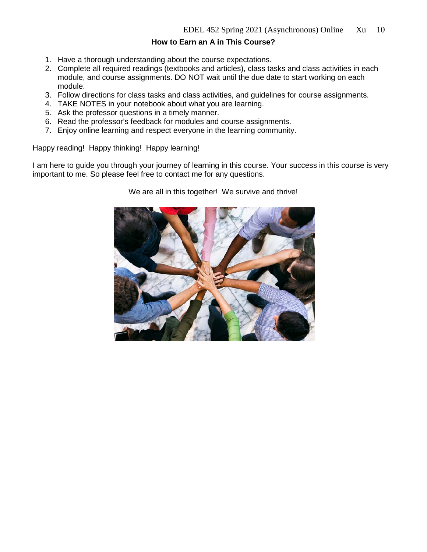## **How to Earn an A in This Course?**

- 1. Have a thorough understanding about the course expectations.
- 2. Complete all required readings (textbooks and articles), class tasks and class activities in each module, and course assignments. DO NOT wait until the due date to start working on each module.
- 3. Follow directions for class tasks and class activities, and guidelines for course assignments.
- 4. TAKE NOTES in your notebook about what you are learning.
- 5. Ask the professor questions in a timely manner.
- 6. Read the professor's feedback for modules and course assignments.
- 7. Enjoy online learning and respect everyone in the learning community.

Happy reading! Happy thinking! Happy learning!

I am here to guide you through your journey of learning in this course. Your success in this course is very important to me. So please feel free to contact me for any questions.

We are all in this together! We survive and thrive!

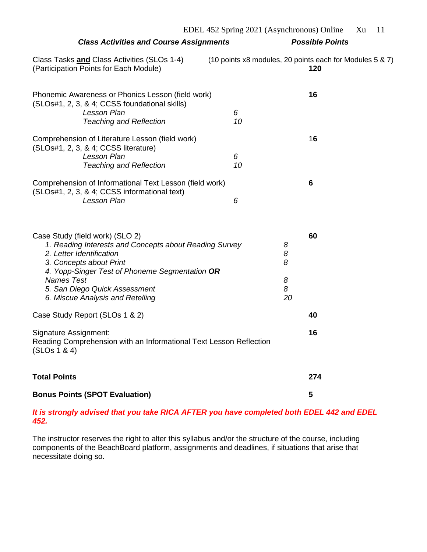|                                                                                                                                                                                                                                                                                              |         | EDEL 452 Spring 2021 (Asynchronous) Online                      | Xu<br>11 |
|----------------------------------------------------------------------------------------------------------------------------------------------------------------------------------------------------------------------------------------------------------------------------------------------|---------|-----------------------------------------------------------------|----------|
| <b>Class Activities and Course Assignments</b>                                                                                                                                                                                                                                               |         | <b>Possible Points</b>                                          |          |
| Class Tasks and Class Activities (SLOs 1-4)<br>(Participation Points for Each Module)                                                                                                                                                                                                        |         | (10 points x8 modules, 20 points each for Modules 5 & 7)<br>120 |          |
| Phonemic Awareness or Phonics Lesson (field work)<br>(SLOs#1, 2, 3, & 4; CCSS foundational skills)<br><b>Lesson Plan</b><br><b>Teaching and Reflection</b>                                                                                                                                   | 6<br>10 | 16                                                              |          |
| Comprehension of Literature Lesson (field work)<br>(SLOs#1, 2, 3, & 4; CCSS literature)<br>Lesson Plan<br><b>Teaching and Reflection</b>                                                                                                                                                     | 6<br>10 | 16                                                              |          |
| Comprehension of Informational Text Lesson (field work)<br>(SLOs#1, 2, 3, & 4; CCSS informational text)<br><b>Lesson Plan</b>                                                                                                                                                                | 6       | 6                                                               |          |
| Case Study (field work) (SLO 2)<br>1. Reading Interests and Concepts about Reading Survey<br>2. Letter Identification<br>3. Concepts about Print<br>4. Yopp-Singer Test of Phoneme Segmentation OR<br><b>Names Test</b><br>5. San Diego Quick Assessment<br>6. Miscue Analysis and Retelling |         | 60<br>8<br>8<br>8<br>8<br>8<br>20                               |          |
| Case Study Report (SLOs 1 & 2)                                                                                                                                                                                                                                                               |         | 40                                                              |          |
| <b>Signature Assignment:</b><br>Reading Comprehension with an Informational Text Lesson Reflection<br>(SLOS 1 & 4)                                                                                                                                                                           |         | 16                                                              |          |
| <b>Total Points</b>                                                                                                                                                                                                                                                                          |         | 274                                                             |          |
| <b>Bonus Points (SPOT Evaluation)</b>                                                                                                                                                                                                                                                        |         | 5                                                               |          |

## *It is strongly advised that you take RICA AFTER you have completed both EDEL 442 and EDEL 452.*

The instructor reserves the right to alter this syllabus and/or the structure of the course, including components of the BeachBoard platform, assignments and deadlines, if situations that arise that necessitate doing so.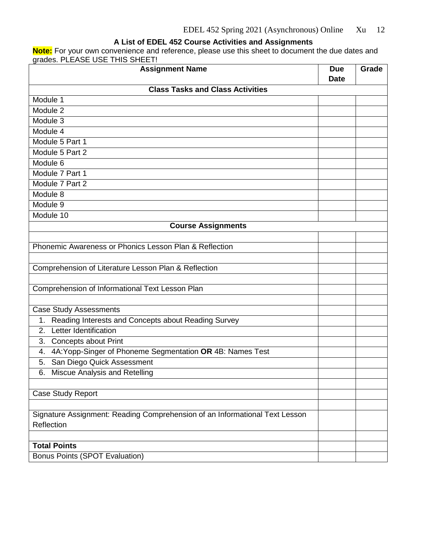### **A List of EDEL 452 Course Activities and Assignments**

**Note:** For your own convenience and reference, please use this sheet to document the due dates and grades. PLEASE USE THIS SHEET!

| <b>Assignment Name</b>                                                      |             | Grade |
|-----------------------------------------------------------------------------|-------------|-------|
|                                                                             | <b>Date</b> |       |
| <b>Class Tasks and Class Activities</b>                                     |             |       |
| Module 1                                                                    |             |       |
| Module 2                                                                    |             |       |
| Module 3                                                                    |             |       |
| Module 4                                                                    |             |       |
| Module 5 Part 1                                                             |             |       |
| Module 5 Part 2                                                             |             |       |
| Module 6                                                                    |             |       |
| Module 7 Part 1                                                             |             |       |
| Module 7 Part 2                                                             |             |       |
| Module 8                                                                    |             |       |
| Module 9                                                                    |             |       |
| Module 10                                                                   |             |       |
| <b>Course Assignments</b>                                                   |             |       |
|                                                                             |             |       |
| Phonemic Awareness or Phonics Lesson Plan & Reflection                      |             |       |
|                                                                             |             |       |
| Comprehension of Literature Lesson Plan & Reflection                        |             |       |
|                                                                             |             |       |
| Comprehension of Informational Text Lesson Plan                             |             |       |
|                                                                             |             |       |
| <b>Case Study Assessments</b>                                               |             |       |
| Reading Interests and Concepts about Reading Survey<br>1.                   |             |       |
| Letter Identification<br>2.                                                 |             |       |
| <b>Concepts about Print</b><br>3.                                           |             |       |
| 4A: Yopp-Singer of Phoneme Segmentation OR 4B: Names Test<br>4.             |             |       |
| San Diego Quick Assessment<br>5.                                            |             |       |
| 6. Miscue Analysis and Retelling                                            |             |       |
|                                                                             |             |       |
| Case Study Report                                                           |             |       |
|                                                                             |             |       |
| Signature Assignment: Reading Comprehension of an Informational Text Lesson |             |       |
| Reflection                                                                  |             |       |
|                                                                             |             |       |
| <b>Total Points</b>                                                         |             |       |
| Bonus Points (SPOT Evaluation)                                              |             |       |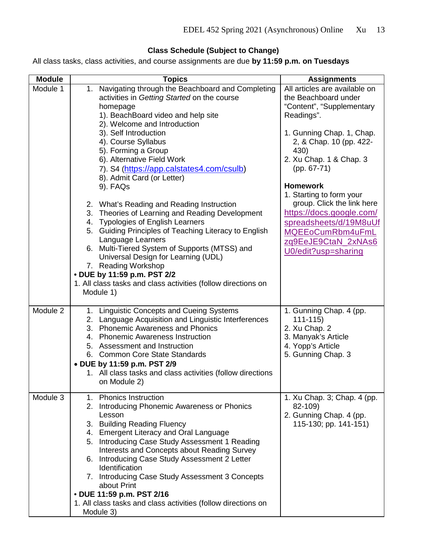# **Class Schedule (Subject to Change)**

All class tasks, class activities, and course assignments are due **by 11:59 p.m. on Tuesdays**

| <b>Module</b> | <b>Topics</b>                                                                                                                                                                                                                                                                                                                                                                                                                                                                                                 | <b>Assignments</b>                                                                                                                                      |
|---------------|---------------------------------------------------------------------------------------------------------------------------------------------------------------------------------------------------------------------------------------------------------------------------------------------------------------------------------------------------------------------------------------------------------------------------------------------------------------------------------------------------------------|---------------------------------------------------------------------------------------------------------------------------------------------------------|
| Module 1      | Navigating through the Beachboard and Completing<br>1.<br>activities in Getting Started on the course<br>homepage<br>1). BeachBoard video and help site<br>2). Welcome and Introduction                                                                                                                                                                                                                                                                                                                       | All articles are available on<br>the Beachboard under<br>"Content", "Supplementary<br>Readings".                                                        |
|               | 3). Self Introduction<br>4). Course Syllabus<br>5). Forming a Group<br>6). Alternative Field Work<br>7). S4 (https://app.calstates4.com/csulb)<br>8). Admit Card (or Letter)<br>9). FAQs                                                                                                                                                                                                                                                                                                                      | 1. Gunning Chap. 1, Chap.<br>2, & Chap. 10 (pp. 422-<br>430)<br>2. Xu Chap. 1 & Chap. 3<br>$(pp. 67-71)$<br><b>Homework</b><br>1. Starting to form your |
|               | 2. What's Reading and Reading Instruction<br>3. Theories of Learning and Reading Development<br>4. Typologies of English Learners<br>5. Guiding Principles of Teaching Literacy to English<br>Language Learners<br>6. Multi-Tiered System of Supports (MTSS) and<br>Universal Design for Learning (UDL)<br>7. Reading Workshop<br>• DUE by 11:59 p.m. PST 2/2<br>1. All class tasks and class activities (follow directions on<br>Module 1)                                                                   | group. Click the link here<br>https://docs.google.com/<br>spreadsheets/d/19M8uUf<br>MQEEoCumRbm4uFmL<br>zq9EeJE9CtaN_2xNAs6<br>U0/edit?usp=sharing      |
| Module 2      | 1. Linguistic Concepts and Cueing Systems<br>Language Acquisition and Linguistic Interferences<br>2.<br>3. Phonemic Awareness and Phonics<br>4. Phonemic Awareness Instruction<br>5. Assessment and Instruction<br>6. Common Core State Standards<br>• DUE by 11:59 p.m. PST 2/9<br>1. All class tasks and class activities (follow directions<br>on Module 2)                                                                                                                                                | 1. Gunning Chap. 4 (pp.<br>$111 - 115$<br>2. Xu Chap. 2<br>3. Manyak's Article<br>4. Yopp's Article<br>5. Gunning Chap. 3                               |
| Module 3      | 1. Phonics Instruction<br>2. Introducing Phonemic Awareness or Phonics<br>Lesson<br>3. Building Reading Fluency<br>4. Emergent Literacy and Oral Language<br>Introducing Case Study Assessment 1 Reading<br>5.<br>Interests and Concepts about Reading Survey<br>6. Introducing Case Study Assessment 2 Letter<br>Identification<br>7. Introducing Case Study Assessment 3 Concepts<br>about Print<br>• DUE 11:59 p.m. PST 2/16<br>1. All class tasks and class activities (follow directions on<br>Module 3) | 1. Xu Chap. 3; Chap. 4 (pp.<br>82-109)<br>2. Gunning Chap. 4 (pp.<br>115-130; pp. 141-151)                                                              |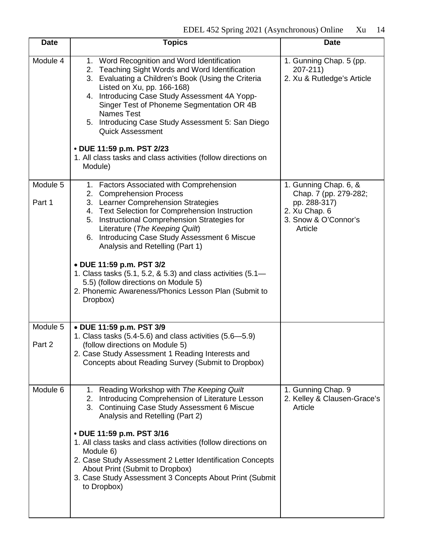| <b>Date</b>        | <b>Topics</b>                                                                                                                                                                                                                                                                                                                                                                                                                                                                                   | <b>Date</b>                                                                                                        |
|--------------------|-------------------------------------------------------------------------------------------------------------------------------------------------------------------------------------------------------------------------------------------------------------------------------------------------------------------------------------------------------------------------------------------------------------------------------------------------------------------------------------------------|--------------------------------------------------------------------------------------------------------------------|
| Module 4           | 1. Word Recognition and Word Identification<br>2. Teaching Sight Words and Word Identification<br>3. Evaluating a Children's Book (Using the Criteria<br>Listed on Xu, pp. 166-168)<br>4. Introducing Case Study Assessment 4A Yopp-<br>Singer Test of Phoneme Segmentation OR 4B<br><b>Names Test</b><br>5. Introducing Case Study Assessment 5: San Diego<br><b>Quick Assessment</b><br>• DUE 11:59 p.m. PST 2/23<br>1. All class tasks and class activities (follow directions on<br>Module) | 1. Gunning Chap. 5 (pp.<br>$207 - 211$<br>2. Xu & Rutledge's Article                                               |
| Module 5<br>Part 1 | 1. Factors Associated with Comprehension<br>2. Comprehension Process<br>3. Learner Comprehension Strategies<br>4. Text Selection for Comprehension Instruction<br>5. Instructional Comprehension Strategies for<br>Literature (The Keeping Quilt)<br>6. Introducing Case Study Assessment 6 Miscue<br>Analysis and Retelling (Part 1)<br>• DUE 11:59 p.m. PST 3/2                                                                                                                               | 1. Gunning Chap. 6, &<br>Chap. 7 (pp. 279-282;<br>pp. 288-317)<br>2. Xu Chap. 6<br>3. Snow & O'Connor's<br>Article |
|                    | 1. Class tasks (5.1, 5.2, & 5.3) and class activities (5.1-<br>5.5) (follow directions on Module 5)<br>2. Phonemic Awareness/Phonics Lesson Plan (Submit to<br>Dropbox)                                                                                                                                                                                                                                                                                                                         |                                                                                                                    |
| Module 5           | • DUE 11:59 p.m. PST 3/9<br>1. Class tasks $(5.4-5.6)$ and class activities $(5.6-5.9)$                                                                                                                                                                                                                                                                                                                                                                                                         |                                                                                                                    |
| Part 2             | (follow directions on Module 5)<br>2. Case Study Assessment 1 Reading Interests and<br>Concepts about Reading Survey (Submit to Dropbox)                                                                                                                                                                                                                                                                                                                                                        |                                                                                                                    |
| Module 6           | Reading Workshop with The Keeping Quilt<br>1.<br>Introducing Comprehension of Literature Lesson<br>2.<br>3. Continuing Case Study Assessment 6 Miscue<br>Analysis and Retelling (Part 2)                                                                                                                                                                                                                                                                                                        | 1. Gunning Chap. 9<br>2. Kelley & Clausen-Grace's<br>Article                                                       |
|                    | • DUE 11:59 p.m. PST 3/16<br>1. All class tasks and class activities (follow directions on<br>Module 6)<br>2. Case Study Assessment 2 Letter Identification Concepts<br>About Print (Submit to Dropbox)<br>3. Case Study Assessment 3 Concepts About Print (Submit<br>to Dropbox)                                                                                                                                                                                                               |                                                                                                                    |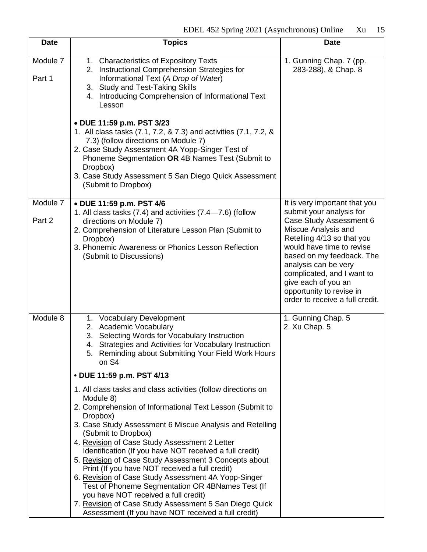| <b>Date</b>        | <b>Topics</b>                                                                                                                                                                                                                                                                                                                                                                                                                                                                                                                                                                                                                                                                                                                    | <b>Date</b>                                                                                                                                                                                                                                                                                                    |
|--------------------|----------------------------------------------------------------------------------------------------------------------------------------------------------------------------------------------------------------------------------------------------------------------------------------------------------------------------------------------------------------------------------------------------------------------------------------------------------------------------------------------------------------------------------------------------------------------------------------------------------------------------------------------------------------------------------------------------------------------------------|----------------------------------------------------------------------------------------------------------------------------------------------------------------------------------------------------------------------------------------------------------------------------------------------------------------|
| Module 7<br>Part 1 | 1. Characteristics of Expository Texts<br>2. Instructional Comprehension Strategies for<br>Informational Text (A Drop of Water)<br>3. Study and Test-Taking Skills<br>4. Introducing Comprehension of Informational Text<br>Lesson<br>• DUE 11:59 p.m. PST 3/23<br>1. All class tasks (7.1, 7.2, & 7.3) and activities (7.1, 7.2, &<br>7.3) (follow directions on Module 7)<br>2. Case Study Assessment 4A Yopp-Singer Test of<br>Phoneme Segmentation OR 4B Names Test (Submit to<br>Dropbox)<br>3. Case Study Assessment 5 San Diego Quick Assessment<br>(Submit to Dropbox)                                                                                                                                                   | 1. Gunning Chap. 7 (pp.<br>283-288), & Chap. 8                                                                                                                                                                                                                                                                 |
| Module 7           | • DUE 11:59 p.m. PST 4/6                                                                                                                                                                                                                                                                                                                                                                                                                                                                                                                                                                                                                                                                                                         | It is very important that you                                                                                                                                                                                                                                                                                  |
| Part 2             | 1. All class tasks (7.4) and activities (7.4–7.6) (follow<br>directions on Module 7)<br>2. Comprehension of Literature Lesson Plan (Submit to<br>Dropbox)<br>3. Phonemic Awareness or Phonics Lesson Reflection<br>(Submit to Discussions)                                                                                                                                                                                                                                                                                                                                                                                                                                                                                       | submit your analysis for<br>Case Study Assessment 6<br>Miscue Analysis and<br>Retelling 4/13 so that you<br>would have time to revise<br>based on my feedback. The<br>analysis can be very<br>complicated, and I want to<br>give each of you an<br>opportunity to revise in<br>order to receive a full credit. |
| Module 8           | 1. Vocabulary Development<br>2. Academic Vocabulary<br>3. Selecting Words for Vocabulary Instruction<br>4. Strategies and Activities for Vocabulary Instruction<br>5. Reminding about Submitting Your Field Work Hours<br>on S4                                                                                                                                                                                                                                                                                                                                                                                                                                                                                                  | 1. Gunning Chap. 5<br>2. Xu Chap. 5                                                                                                                                                                                                                                                                            |
|                    | • DUE 11:59 p.m. PST 4/13                                                                                                                                                                                                                                                                                                                                                                                                                                                                                                                                                                                                                                                                                                        |                                                                                                                                                                                                                                                                                                                |
|                    | 1. All class tasks and class activities (follow directions on<br>Module 8)<br>2. Comprehension of Informational Text Lesson (Submit to<br>Dropbox)<br>3. Case Study Assessment 6 Miscue Analysis and Retelling<br>(Submit to Dropbox)<br>4. Revision of Case Study Assessment 2 Letter<br>Identification (If you have NOT received a full credit)<br>5. Revision of Case Study Assessment 3 Concepts about<br>Print (If you have NOT received a full credit)<br>6. Revision of Case Study Assessment 4A Yopp-Singer<br>Test of Phoneme Segmentation OR 4BNames Test (If<br>you have NOT received a full credit)<br>7. Revision of Case Study Assessment 5 San Diego Quick<br>Assessment (If you have NOT received a full credit) |                                                                                                                                                                                                                                                                                                                |